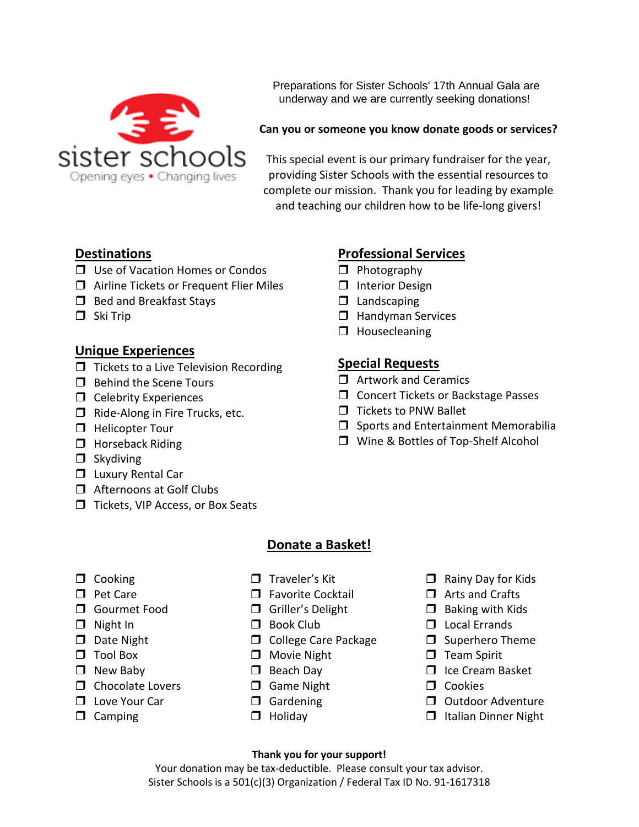Preparations for Sister Schools' 17th Annual Gala are underway and we are currently seeking donations! underway and we are currently seeking donations!

#### **Can you or someone you know donate goods or services?**

This special event is our primary fundraiser for the year, providing Sister Schools with the essential resources to complete our mission. Thank you for leading by example and teaching our children how to be life-long givers!

## **Destinations**

- Use of Vacation Homes or Condos
- □ Airline Tickets or Frequent Flier Miles
- $\Box$  Bed and Breakfast Stays
- $\Box$  Ski Trip

## **Unique Experiences**

- $\Box$  Tickets to a Live Television Recording
- $\Box$  Behind the Scene Tours
- $\Box$  Celebrity Experiences
- $\Box$  Ride-Along in Fire Trucks, etc.
- **Helicopter Tour**
- $\Box$  Horseback Riding
- $\Box$  Skydiving
- **Luxury Rental Car**
- **T** Afternoons at Golf Clubs
- □ Tickets, VIP Access, or Box Seats

## **Donate a Basket!**

- $\Box$  Cooking
- **D** Pet Care
- **O** Gourmet Food
- $\Box$  Night In
- $\Box$  Date Night
- Tool Box
- □ New Baby
- $\Box$  Chocolate Lovers
- **T** Love Your Car
- $\Box$  Camping
- $\Box$  Traveler's Kit
- $\Box$  Favorite Cocktail
- Griller's Delight
- D Book Club
- **College Care Package**
- **D** Movie Night
- **D** Beach Day
- **O** Game Night
- **D** Gardening
- $\Box$  Holiday
- $\Box$  Rainy Day for Kids
- $\Box$  Arts and Crafts
- $\Box$  Baking with Kids
- D Local Errands
- $\square$  Superhero Theme
- $\Box$  Team Spirit
- $\Box$  Ice Cream Basket
- $\Box$  Cookies
- Outdoor Adventure
- $\Box$  Italian Dinner Night

**Thank you for your support!** Your donation may be tax-deductible. Please consult your tax advisor. Sister Schools is a 501(c)(3) Organization / Federal Tax ID No. 91-1617318

# **Professional Services**

- $\Box$  Interior Design
- $\Box$  Landscaping
- $\Box$  Handyman Services
- $\Box$  Housecleaning

## **Special Requests**

- $\Box$  Artwork and Ceramics
- **C** Concert Tickets or Backstage Passes
- $\Box$  Tickets to PNW Ballet
- $\square$  Sports and Entertainment Memorabilia
- □ Wine & Bottles of Top-Shelf Alcohol
- $\Box$  Photography
	-
	-
	-
	-

# Opening eyes • Changing lives